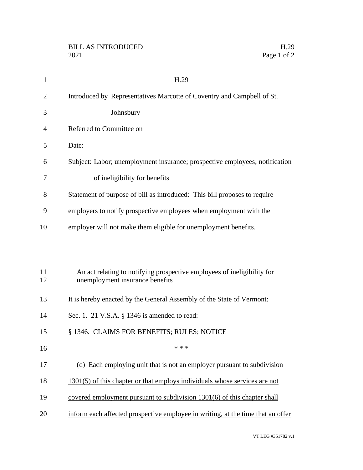| $\mathbf{1}$   | H.29                                                                                                       |
|----------------|------------------------------------------------------------------------------------------------------------|
| $\overline{2}$ | Introduced by Representatives Marcotte of Coventry and Campbell of St.                                     |
| 3              | Johnsbury                                                                                                  |
| 4              | Referred to Committee on                                                                                   |
| 5              | Date:                                                                                                      |
| 6              | Subject: Labor; unemployment insurance; prospective employees; notification                                |
| 7              | of ineligibility for benefits                                                                              |
| 8              | Statement of purpose of bill as introduced: This bill proposes to require                                  |
| 9              | employers to notify prospective employees when employment with the                                         |
| 10             | employer will not make them eligible for unemployment benefits.                                            |
|                |                                                                                                            |
|                |                                                                                                            |
| 11<br>12       | An act relating to notifying prospective employees of ineligibility for<br>unemployment insurance benefits |
| 13             | It is hereby enacted by the General Assembly of the State of Vermont:                                      |
| 14             | Sec. 1. 21 V.S.A. § 1346 is amended to read:                                                               |
| 15             | § 1346. CLAIMS FOR BENEFITS; RULES; NOTICE                                                                 |
| 16             | * * *                                                                                                      |
| 17             | (d) Each employing unit that is not an employer pursuant to subdivision                                    |
| 18             | 1301(5) of this chapter or that employs individuals whose services are not                                 |
| 19             | covered employment pursuant to subdivision 1301(6) of this chapter shall                                   |
| 20             | inform each affected prospective employee in writing, at the time that an offer                            |